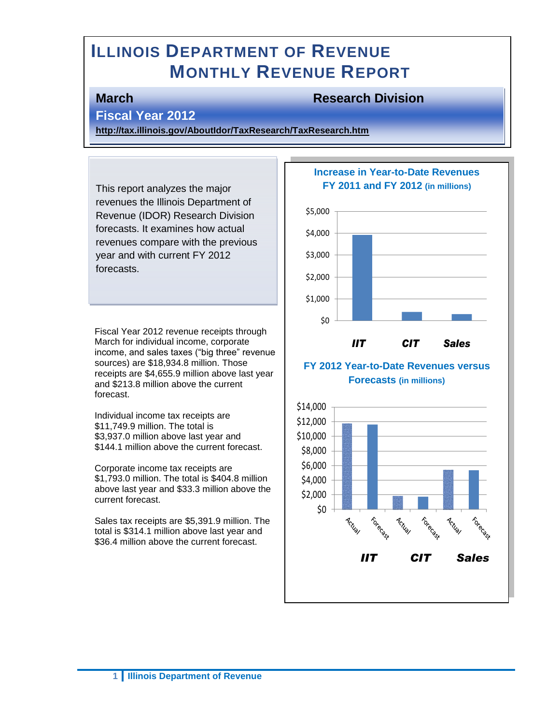# **ILLINOIS DEPARTMENT OF REVENUE MONTHLY REVENUE REPORT**

## **March Research Division**

## **Fiscal Year 2012**

**<http://tax.illinois.gov/AboutIdor/TaxResearch/TaxResearch.htm>**

This report analyzes the major revenues the Illinois Department of Revenue (IDOR) Research Division forecasts. It examines how actual revenues compare with the previous year and with current FY 2012 forecasts.

Fiscal Year 2012 revenue receipts through March for individual income, corporate income, and sales taxes ("big three" revenue sources) are \$18,934.8 million. Those receipts are \$4,655.9 million above last year and \$213.8 million above the current forecast.

Individual income tax receipts are \$11,749.9 million. The total is \$3,937.0 million above last year and \$144.1 million above the current forecast.

Corporate income tax receipts are \$1,793.0 million. The total is \$404.8 million above last year and \$33.3 million above the current forecast.

Sales tax receipts are \$5,391.9 million. The total is \$314.1 million above last year and \$36.4 million above the current forecast.

#### **Increase in Year-to-Date Revenues FY 2011 and FY 2012 (in millions)**



#### **FY 2012 Year-to-Date Revenues versus Forecasts (in millions)**

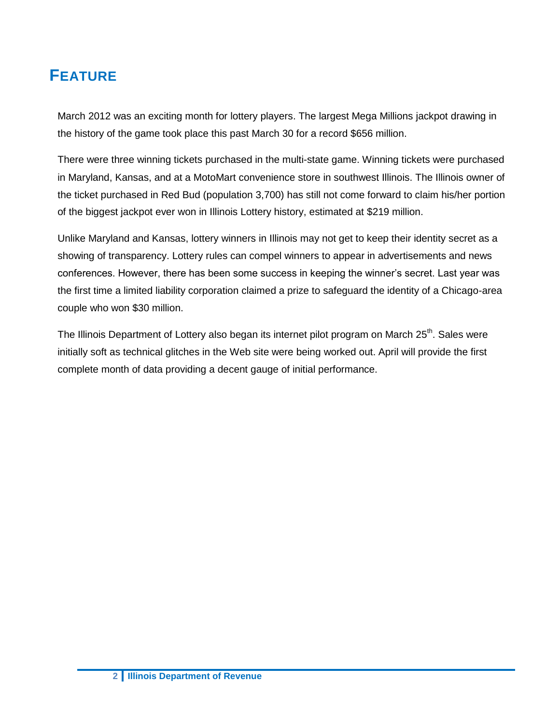# **FEATURE**

March 2012 was an exciting month for lottery players. The largest Mega Millions jackpot drawing in the history of the game took place this past March 30 for a record \$656 million.

There were three winning tickets purchased in the multi-state game. Winning tickets were purchased in Maryland, Kansas, and at a MotoMart convenience store in southwest Illinois. The Illinois owner of the ticket purchased in Red Bud (population 3,700) has still not come forward to claim his/her portion of the biggest jackpot ever won in Illinois Lottery history, estimated at \$219 million.

Unlike Maryland and Kansas, lottery winners in Illinois may not get to keep their identity secret as a showing of transparency. Lottery rules can compel winners to appear in advertisements and news conferences. However, there has been some success in keeping the winner's secret. Last year was the first time a limited liability corporation claimed a prize to safeguard the identity of a Chicago-area couple who won \$30 million.

The Illinois Department of Lottery also began its internet pilot program on March 25<sup>th</sup>. Sales were initially soft as technical glitches in the Web site were being worked out. April will provide the first complete month of data providing a decent gauge of initial performance.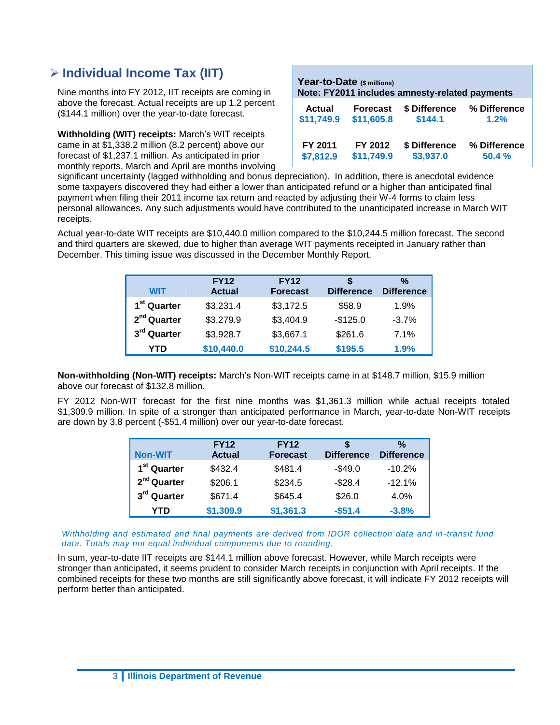## **Individual Income Tax (IIT)**

Nine months into FY 2012, IIT receipts are coming in above the forecast. Actual receipts are up 1.2 percent (\$144.1 million) over the year-to-date forecast.

**Withholding (WIT) receipts:** March's WIT receipts came in at \$1,338.2 million (8.2 percent) above our forecast of \$1,237.1 million. As anticipated in prior monthly reports, March and April are months involving

| Year-to-Date (\$ millions)<br>Note: FY2011 includes amnesty-related payments |                 |               |              |  |  |
|------------------------------------------------------------------------------|-----------------|---------------|--------------|--|--|
| <b>Actual</b>                                                                | <b>Forecast</b> | \$ Difference | % Difference |  |  |
| \$11,749.9                                                                   | \$11,605.8      | \$144.1       | 1.2%         |  |  |
| FY 2011                                                                      | FY 2012         | \$ Difference | % Difference |  |  |
| \$7,812.9                                                                    | \$11,749.9      | \$3,937.0     | 50.4%        |  |  |

significant uncertainty (lagged withholding and bonus depreciation). In addition, there is anecdotal evidence some taxpayers discovered they had either a lower than anticipated refund or a higher than anticipated final payment when filing their 2011 income tax return and reacted by adjusting their W-4 forms to claim less personal allowances. Any such adjustments would have contributed to the unanticipated increase in March WIT receipts.

Actual year-to-date WIT receipts are \$10,440.0 million compared to the \$10,244.5 million forecast. The second and third quarters are skewed, due to higher than average WIT payments receipted in January rather than December. This timing issue was discussed in the December Monthly Report.

| <b>WIT</b>              | <b>FY12</b><br><b>Actual</b> | <b>FY12</b><br><b>Forecast</b> | <b>Difference</b> | $\frac{0}{0}$<br><b>Difference</b> |
|-------------------------|------------------------------|--------------------------------|-------------------|------------------------------------|
| 1 <sup>st</sup> Quarter | \$3,231.4                    | \$3,172.5                      | \$58.9            | 1.9%                               |
| 2 <sup>nd</sup> Quarter | \$3,279.9                    | \$3,404.9                      | $-$125.0$         | $-3.7%$                            |
| 3 <sup>rd</sup> Quarter | \$3,928.7                    | \$3,667.1                      | \$261.6           | 7.1%                               |
| YTD                     | \$10,440.0                   | \$10,244.5                     | \$195.5           | 1.9%                               |

**Non-withholding (Non-WIT) receipts:** March's Non-WIT receipts came in at \$148.7 million, \$15.9 million above our forecast of \$132.8 million.

FY 2012 Non-WIT forecast for the first nine months was \$1,361.3 million while actual receipts totaled \$1,309.9 million. In spite of a stronger than anticipated performance in March, year-to-date Non-WIT receipts are down by 3.8 percent (-\$51.4 million) over our year-to-date forecast.

|                         | <b>FY12</b>   | <b>FY12</b>     |                   | %                 |
|-------------------------|---------------|-----------------|-------------------|-------------------|
| <b>Non-WIT</b>          | <b>Actual</b> | <b>Forecast</b> | <b>Difference</b> | <b>Difference</b> |
| 1 <sup>st</sup> Quarter | \$432.4       | \$481.4         | $-$49.0$          | $-10.2%$          |
| 2 <sup>nd</sup> Quarter | \$206.1       | \$234.5         | $-$28.4$          | $-12.1%$          |
| 3 <sup>rd</sup> Quarter | \$671.4       | \$645.4         | \$26.0            | 4.0%              |
| YTD                     | \$1,309.9     | \$1,361.3       | $-$51.4$          | $-3.8%$           |

*Withholding and estimated and final payments are derived from IDOR collection data and in-transit fund data. Totals may not equal individual components due to rounding.* 

In sum, year-to-date IIT receipts are \$144.1 million above forecast. However, while March receipts were stronger than anticipated, it seems prudent to consider March receipts in conjunction with April receipts. If the combined receipts for these two months are still significantly above forecast, it will indicate FY 2012 receipts will perform better than anticipated.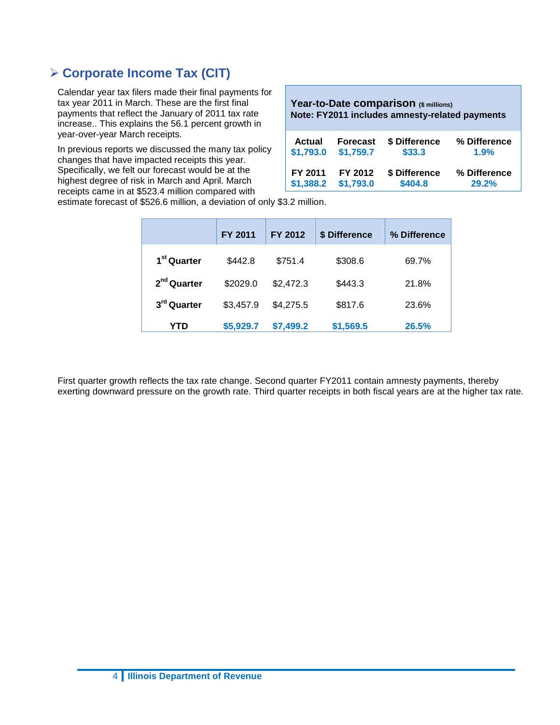## **Corporate Income Tax (CIT)**

Calendar year tax filers made their final payments for tax year 2011 in March. These are the first final payments that reflect the January of 2011 tax rate increase.. This explains the 56.1 percent growth in year-over-year March receipts.

In previous reports we discussed the many tax policy changes that have impacted receipts this year. Specifically, we felt our forecast would be at the highest degree of risk in March and April. March receipts came in at \$523.4 million compared with

**Year-to-Date comparison (\$ millions) Note: FY2011 includes amnesty-related payments** 

| <b>Actual</b> | <b>Forecast</b>     | \$ Difference | % Difference |
|---------------|---------------------|---------------|--------------|
| \$1,793.0     | \$1,759.7           | \$33.3        | 1.9%         |
| FY 2011       | FY 2012             | \$ Difference | % Difference |
|               | \$1,388.2 \$1,793.0 | \$404.8       | 29.2%        |

estimate forecast of \$526.6 million, a deviation of only \$3.2 million.

|                         | FY 2011   | FY 2012   | \$ Difference | % Difference |
|-------------------------|-----------|-----------|---------------|--------------|
| 1 <sup>st</sup> Quarter | \$442.8   | \$751.4   | \$308.6       | 69.7%        |
| $2nd$ Quarter           | \$2029.0  | \$2,472.3 | \$443.3       | 21.8%        |
| 3rd Quarter             | \$3,457.9 | \$4,275.5 | \$817.6       | 23.6%        |
| YTD                     | \$5,929.7 | \$7,499.2 | \$1,569.5     | 26.5%        |

First quarter growth reflects the tax rate change. Second quarter FY2011 contain amnesty payments, thereby exerting downward pressure on the growth rate. Third quarter receipts in both fiscal years are at the higher tax rate.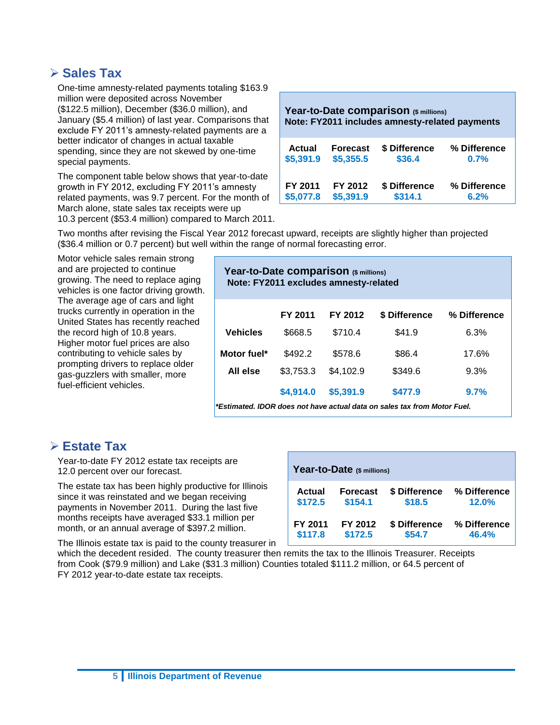## **Sales Tax**

One-time amnesty-related payments totaling \$163.9 million were deposited across November (\$122.5 million), December (\$36.0 million), and January (\$5.4 million) of last year. Comparisons that exclude FY 2011's amnesty-related payments are a better indicator of changes in actual taxable spending, since they are not skewed by one-time special payments.

The component table below shows that year-to-date growth in FY 2012, excluding FY 2011's amnesty related payments, was 9.7 percent. For the month of March alone, state sales tax receipts were up 10.3 percent (\$53.4 million) compared to March 2011.

| Year-to-Date comparison (\$ millions)<br>Note: FY2011 includes amnesty-related payments |                 |               |              |  |  |
|-----------------------------------------------------------------------------------------|-----------------|---------------|--------------|--|--|
| <b>Actual</b>                                                                           | <b>Forecast</b> | \$ Difference | % Difference |  |  |
| \$5,391.9                                                                               | \$5,355.5       | \$36.4        | 0.7%         |  |  |
| FY 2011                                                                                 | FY 2012         | \$ Difference | % Difference |  |  |
| \$5,077.8                                                                               | \$5,391.9       | \$314.1       | 6.2%         |  |  |

Two months after revising the Fiscal Year 2012 forecast upward, receipts are slightly higher than projected (\$36.4 million or 0.7 percent) but well within the range of normal forecasting error.

Motor vehicle sales remain strong and are projected to continue growing. The need to replace aging vehicles is one factor driving growth. The average age of cars and light trucks currently in operation in the United States has recently reached the record high of 10.8 years. Higher motor fuel prices are also contributing to vehicle sales by prompting drivers to replace older gas-guzzlers with smaller, more fuel-efficient vehicles.

| Year-to-Date comparison (\$ millions)<br>Note: FY2011 excludes amnesty-related |           |           |                                                                          |       |  |  |  |
|--------------------------------------------------------------------------------|-----------|-----------|--------------------------------------------------------------------------|-------|--|--|--|
| FY 2011<br>FY 2012<br>\$ Difference<br>% Difference                            |           |           |                                                                          |       |  |  |  |
| <b>Vehicles</b>                                                                | \$668.5   | \$710.4   | \$41.9                                                                   | 6.3%  |  |  |  |
| Motor fuel*                                                                    | \$492.2   | \$578.6   | \$86.4                                                                   | 17.6% |  |  |  |
| All else                                                                       | \$3,753.3 | \$4,102.9 | \$349.6                                                                  | 9.3%  |  |  |  |
| \$4,914.0<br>\$5,391.9<br>\$477.9<br>9.7%                                      |           |           |                                                                          |       |  |  |  |
|                                                                                |           |           | *Estimated, IDOR does not have actual data on sales tax from Motor Fuel. |       |  |  |  |

*\*Estimated. IDOR does not have actual data on sales tax from Motor Fuel.*

## **Estate Tax**

Year-to-date FY 2012 estate tax receipts are 12.0 percent over our forecast.

The estate tax has been highly productive for Illinois since it was reinstated and we began receiving payments in November 2011. During the last five months receipts have averaged \$33.1 million per month, or an annual average of \$397.2 million.

**Year-to-Date (\$ millions) Actual Forecast \$ Difference % Difference \$172.5 \$154.1 \$18.5 12.0% FY 2011 FY 2012 \$ Difference % Difference \$117.8 \$172.5 \$54.7 46.4%**

The Illinois estate tax is paid to the county treasurer in

which the decedent resided. The county treasurer then remits the tax to the Illinois Treasurer. Receipts from Cook (\$79.9 million) and Lake (\$31.3 million) Counties totaled \$111.2 million, or 64.5 percent of FY 2012 year-to-date estate tax receipts.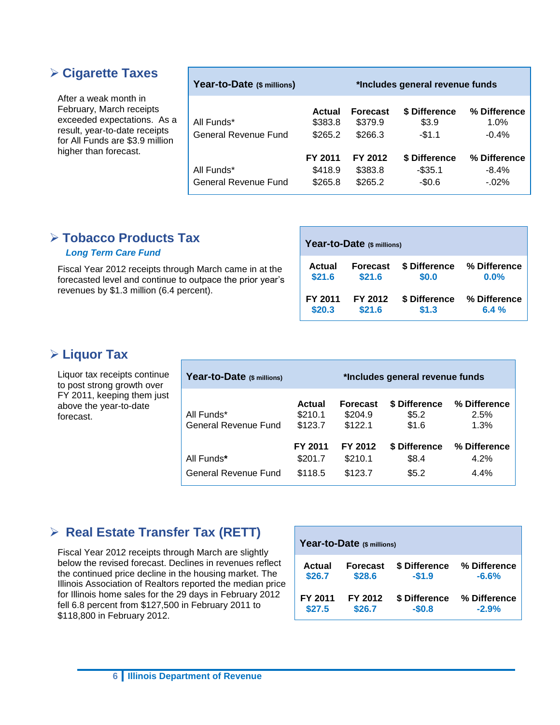## **Cigarette Taxes**

After a weak month in February, March receipts exceeded expectations. As a result, year-to-date receipts for All Funds are \$3.9 million higher than forecast.

| Year-to-Date (\$ millions)         | *Includes general revenue funds |                                       |                                      |                                      |
|------------------------------------|---------------------------------|---------------------------------------|--------------------------------------|--------------------------------------|
| All Funds*<br>General Revenue Fund | Actual<br>\$383.8<br>\$265.2    | <b>Forecast</b><br>\$379.9<br>\$266.3 | \$ Difference<br>\$3.9<br>$-$1.1$    | % Difference<br>1.0%<br>$-0.4%$      |
| All Funds*<br>General Revenue Fund | FY 2011<br>\$418.9<br>\$265.8   | FY 2012<br>\$383.8<br>\$265.2         | \$ Difference<br>$-$35.1$<br>$-$0.6$ | % Difference<br>$-8.4%$<br>$-0.02\%$ |

## **Tobacco Products Tax**

## *Long Term Care Fund*

Fiscal Year 2012 receipts through March came in at the forecasted level and continue to outpace the prior year's revenues by \$1.3 million (6.4 percent).

| Year-to-Date (\$ millions) |                 |               |              |  |  |
|----------------------------|-----------------|---------------|--------------|--|--|
| Actual                     | <b>Forecast</b> | \$ Difference | % Difference |  |  |
| \$21.6                     | \$21.6          | \$0.0         | 0.0%         |  |  |
| FY 2011                    | FY 2012         | \$ Difference | % Difference |  |  |
| \$20.3                     | \$21.6          | \$1.3         | 6.4%         |  |  |

## **Liquor Tax**

Liquor tax receipts continue to post strong growth over FY 2011, keeping them just above the year-to-date forecast.

| Year-to-Date (\$ millions)         | *Includes general revenue funds |                                       |                                 |                                 |  |
|------------------------------------|---------------------------------|---------------------------------------|---------------------------------|---------------------------------|--|
| All Funds*<br>General Revenue Fund | Actual<br>\$210.1<br>\$123.7    | <b>Forecast</b><br>\$204.9<br>\$122.1 | \$ Difference<br>\$5.2<br>\$1.6 | % Difference<br>2.5%<br>1.3%    |  |
| All Funds*<br>General Revenue Fund | FY 2011<br>\$201.7<br>\$118.5   | FY 2012<br>\$210.1<br>\$123.7         | \$ Difference<br>\$8.4<br>\$5.2 | % Difference<br>4.2%<br>$4.4\%$ |  |

## **Real Estate Transfer Tax (RETT)**

Fiscal Year 2012 receipts through March are slightly below the revised forecast. Declines in revenues reflect the continued price decline in the housing market. The Illinois Association of Realtors reported the median price for Illinois home sales for the 29 days in February 2012 fell 6.8 percent from \$127,500 in February 2011 to \$118,800 in February 2012.

| Year-to-Date (\$ millions) |                 |               |              |  |  |
|----------------------------|-----------------|---------------|--------------|--|--|
| Actual                     | <b>Forecast</b> | \$ Difference | % Difference |  |  |
| \$26.7                     | \$28.6          | $-$1.9$       | $-6.6%$      |  |  |
| FY 2011                    | FY 2012         | \$ Difference | % Difference |  |  |
| \$27.5                     | \$26.7          | $-$0.8$       | $-2.9%$      |  |  |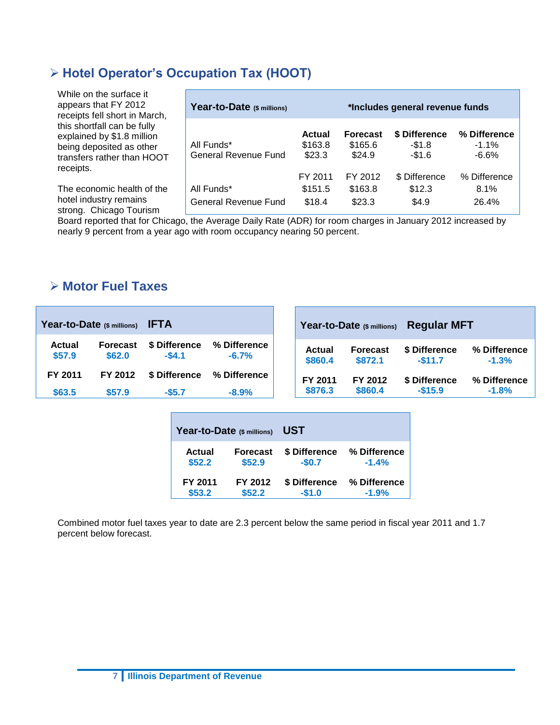# **Hotel Operator's Occupation Tax (HOOT)**

| While on the surface it<br>appears that FY 2012<br>receipts fell short in March,                                                 | Year-to-Date (\$ millions)                |                                    |                                      | *Includes general revenue funds     |                                   |
|----------------------------------------------------------------------------------------------------------------------------------|-------------------------------------------|------------------------------------|--------------------------------------|-------------------------------------|-----------------------------------|
| this shortfall can be fully<br>explained by \$1.8 million<br>being deposited as other<br>transfers rather than HOOT<br>receipts. | All Funds*<br><b>General Revenue Fund</b> | <b>Actual</b><br>\$163.8<br>\$23.3 | <b>Forecast</b><br>\$165.6<br>\$24.9 | \$ Difference<br>$-$1.8$<br>$-$1.6$ | % Difference<br>$-1.1\%$<br>-6.6% |
|                                                                                                                                  |                                           | FY 2011                            | FY 2012                              | \$ Difference                       | % Difference                      |
| The economic health of the                                                                                                       | All Funds*                                | \$151.5                            | \$163.8                              | \$12.3                              | 8.1%                              |
| hotel industry remains<br>strong. Chicago Tourism                                                                                | General Revenue Fund                      | \$18.4                             | \$23.3                               | \$4.9                               | 26.4%                             |

Board reported that for Chicago, the Average Daily Rate (ADR) for room charges in January 2012 increased by nearly 9 percent from a year ago with room occupancy nearing 50 percent.

## **Motor Fuel Taxes**

| Year-to-Date (\$ millions) |                 | UST           |              |  |  |  |  |
|----------------------------|-----------------|---------------|--------------|--|--|--|--|
| Actual                     | <b>Forecast</b> |               | % Difference |  |  |  |  |
| \$52.2                     | \$52.9          |               | $-1.4%$      |  |  |  |  |
| FY 2011                    | FY 2012         | \$ Difference | % Difference |  |  |  |  |
| \$53.2                     | \$52.2\$        | $-$1.0$       | $-1.9%$      |  |  |  |  |

Combined motor fuel taxes year to date are 2.3 percent below the same period in fiscal year 2011 and 1.7 percent below forecast.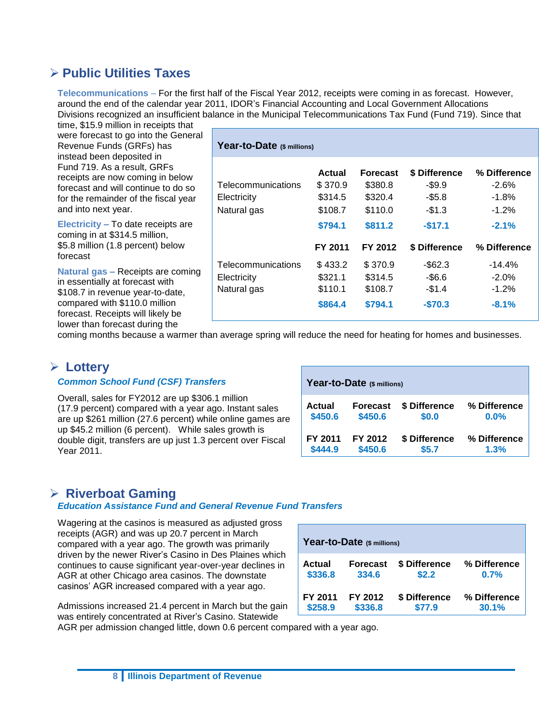## **Public Utilities Taxes**

**Telecommunications** – For the first half of the Fiscal Year 2012, receipts were coming in as forecast. However, around the end of the calendar year 2011, IDOR's Financial Accounting and Local Government Allocations Divisions recognized an insufficient balance in the Municipal Telecommunications Tax Fund (Fund 719). Since that

**Year-to-Date (\$ millions)** 

time, \$15.9 million in receipts that were forecast to go into the General Revenue Funds (GRFs) has instead been deposited in Fund 719. As a result, GRFs receipts are now coming in below forecast and will continue to do so for the remainder of the fiscal year and into next year.

**Electricity –** To date receipts are coming in at \$314.5 million, \$5.8 million (1.8 percent) below forecast

**Natural gas –** Receipts are coming in essentially at forecast with \$108.7 in revenue year-to-date, compared with \$110.0 million forecast. Receipts will likely be lower than forecast during the

| $\sim$ $\sim$ $\sim$ $\sim$ $\sim$ $\sim$ $\sim$ |         |          |               |              |
|--------------------------------------------------|---------|----------|---------------|--------------|
|                                                  | Actual  | Forecast | \$ Difference | % Difference |
| Telecommunications                               | \$370.9 | \$380.8  | $-$ \$9.9     | $-2.6%$      |
| Electricity                                      | \$314.5 | \$320.4  | $-$5.8$       | $-1.8%$      |
| Natural gas                                      | \$108.7 | \$110.0  | $-$1.3$       | $-1.2%$      |
|                                                  | \$794.1 | \$811.2  | $-$17.1$      | $-2.1%$      |
|                                                  |         |          |               |              |
|                                                  | FY 2011 | FY 2012  | \$ Difference | % Difference |
| Telecommunications                               | \$433.2 | \$370.9  | $-$ \$62.3    | $-14.4%$     |
| Electricity                                      | \$321.1 | \$314.5  | $-$ \$6.6     | $-2.0%$      |
| Natural gas                                      | \$110.1 | \$108.7  | $-$1.4$       | $-1.2%$      |

coming months because a warmer than average spring will reduce the need for heating for homes and businesses.

## **Lottery**

#### *Common School Fund (CSF) Transfers*

Overall, sales for FY2012 are up \$306.1 million (17.9 percent) compared with a year ago. Instant sales are up \$261 million (27.6 percent) while online games are up \$45.2 million (6 percent). While sales growth is double digit, transfers are up just 1.3 percent over Fiscal Year 2011.

| Year-to-Date (\$ millions) |                 |               |              |  |  |  |  |  |
|----------------------------|-----------------|---------------|--------------|--|--|--|--|--|
| Actual                     | <b>Forecast</b> | \$ Difference | % Difference |  |  |  |  |  |
| \$450.6                    | \$450.6         | \$0.0         | $0.0\%$      |  |  |  |  |  |
| FY 2011                    | FY 2012         | \$ Difference | % Difference |  |  |  |  |  |
| \$444.9                    | \$450.6         | \$5.7         | 1.3%         |  |  |  |  |  |

## **Riverboat Gaming**

#### *Education Assistance Fund and General Revenue Fund Transfers*

Wagering at the casinos is measured as adjusted gross receipts (AGR) and was up 20.7 percent in March compared with a year ago. The growth was primarily driven by the newer River's Casino in Des Plaines which continues to cause significant year-over-year declines in AGR at other Chicago area casinos. The downstate casinos' AGR increased compared with a year ago.

Admissions increased 21.4 percent in March but the gain was entirely concentrated at River's Casino. Statewide

| Year-to-Date (\$ millions) |                 |               |              |  |  |  |  |  |
|----------------------------|-----------------|---------------|--------------|--|--|--|--|--|
| Actual                     | <b>Forecast</b> | \$ Difference | % Difference |  |  |  |  |  |
| \$336.8                    | 334.6           | \$2.2         | 0.7%         |  |  |  |  |  |
| FY 2011                    | FY 2012         | \$ Difference | % Difference |  |  |  |  |  |
| \$258.9                    | \$336.8         | \$77.9        | 30.1%        |  |  |  |  |  |

AGR per admission changed little, down 0.6 percent compared with a year ago.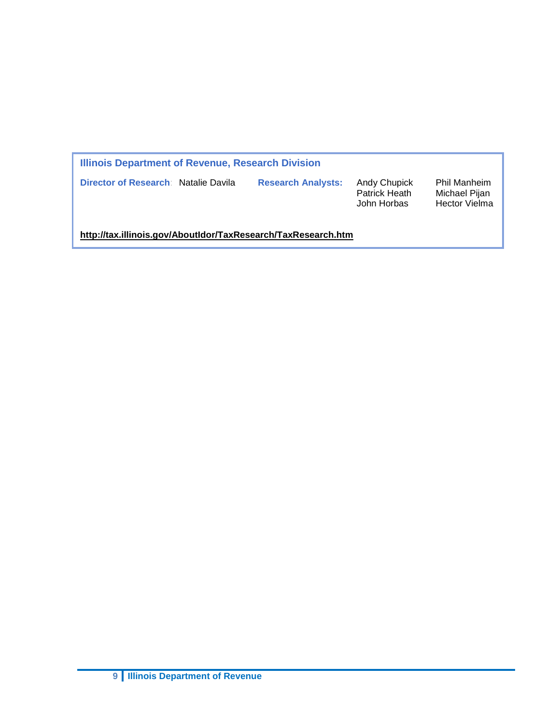| Illinois Department of Revenue, Research Division             |                           |                                                     |                                                              |  |  |  |  |  |
|---------------------------------------------------------------|---------------------------|-----------------------------------------------------|--------------------------------------------------------------|--|--|--|--|--|
| Director of Research: Natalie Davila                          | <b>Research Analysts:</b> | <b>Andy Chupick</b><br>Patrick Heath<br>John Horbas | <b>Phil Manheim</b><br>Michael Pijan<br><b>Hector Vielma</b> |  |  |  |  |  |
| http://tax.illinois.gov/AboutIdor/TaxResearch/TaxResearch.htm |                           |                                                     |                                                              |  |  |  |  |  |